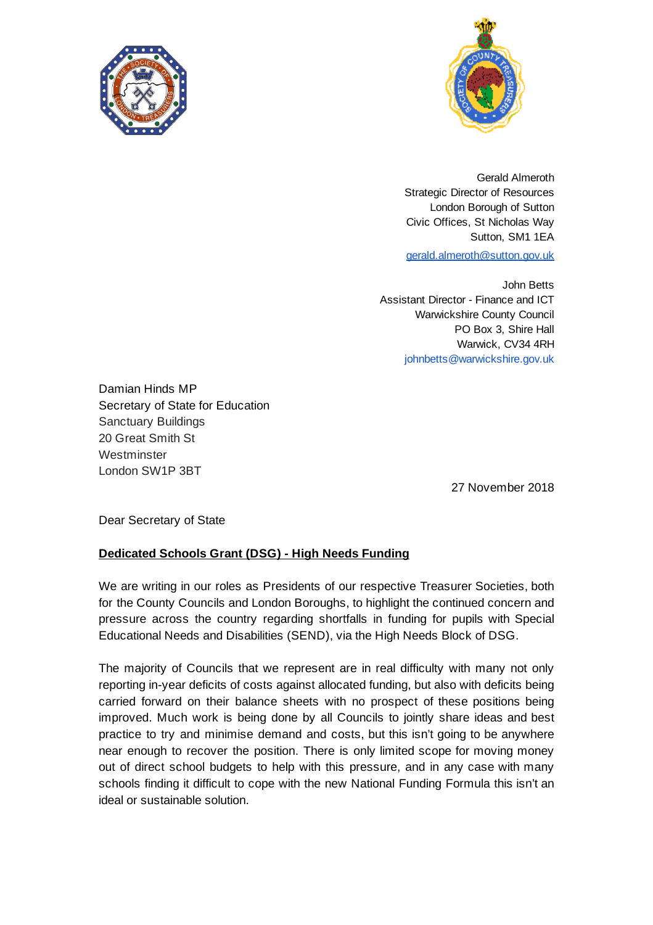



Gerald Almeroth Strategic Director of Resources London Borough of Sutton Civic Offices, St Nicholas Way Sutton, SM1 1EA [gerald.almeroth@sutton.gov.uk](mailto:gerald.almeroth@sutton.gov.uk)

John Betts Assistant Director - Finance and ICT Warwickshire County Council PO Box 3, Shire Hall Warwick, CV34 4RH

johnbetts@warwickshire.gov.uk

Damian Hinds MP Secretary of State for Education Sanctuary Buildings 20 Great Smith St Westminster London SW1P 3BT

27 November 2018

Dear Secretary of State

## **Dedicated Schools Grant (DSG) - High Needs Funding**

We are writing in our roles as Presidents of our respective Treasurer Societies, both for the County Councils and London Boroughs, to highlight the continued concern and pressure across the country regarding shortfalls in funding for pupils with Special Educational Needs and Disabilities (SEND), via the High Needs Block of DSG.

The majority of Councils that we represent are in real difficulty with many not only reporting in-year deficits of costs against allocated funding, but also with deficits being carried forward on their balance sheets with no prospect of these positions being improved. Much work is being done by all Councils to jointly share ideas and best practice to try and minimise demand and costs, but this isn't going to be anywhere near enough to recover the position. There is only limited scope for moving money out of direct school budgets to help with this pressure, and in any case with many schools finding it difficult to cope with the new National Funding Formula this isn't an ideal or sustainable solution.